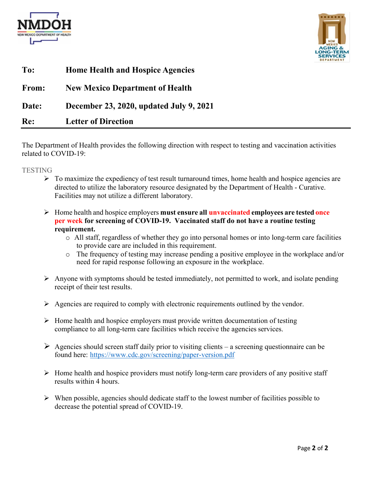



| To:   | <b>Home Health and Hospice Agencies</b> |
|-------|-----------------------------------------|
| From: | <b>New Mexico Department of Health</b>  |
| Date: | December 23, 2020, updated July 9, 2021 |
| Re:   | <b>Letter of Direction</b>              |

The Department of Health provides the following direction with respect to testing and vaccination activities related to COVID-19:

**TESTING** 

- $\triangleright$  To maximize the expediency of test result turnaround times, home health and hospice agencies are directed to utilize the laboratory resource designated by the Department of Health - Curative. Facilities may not utilize a different laboratory.
- Home health and hospice employers **must ensure all unvaccinated employees are tested once per week for screening of COVID-19. Vaccinated staff do not have a routine testing requirement.**
	- o All staff, regardless of whether they go into personal homes or into long-term care facilities to provide care are included in this requirement.
	- o The frequency of testing may increase pending a positive employee in the workplace and/or need for rapid response following an exposure in the workplace.
- $\triangleright$  Anyone with symptoms should be tested immediately, not permitted to work, and isolate pending receipt of their test results.
- $\triangleright$  Agencies are required to comply with electronic requirements outlined by the vendor.
- $\triangleright$  Home health and hospice employers must provide written documentation of testing compliance to all long-term care facilities which receive the agencies services.
- $\triangleright$  Agencies should screen staff daily prior to visiting clients a screening questionnaire can be found here: <https://www.cdc.gov/screening/paper-version.pdf>
- $\triangleright$  Home health and hospice providers must notify long-term care providers of any positive staff results within 4 hours.
- $\triangleright$  When possible, agencies should dedicate staff to the lowest number of facilities possible to decrease the potential spread of COVID-19.